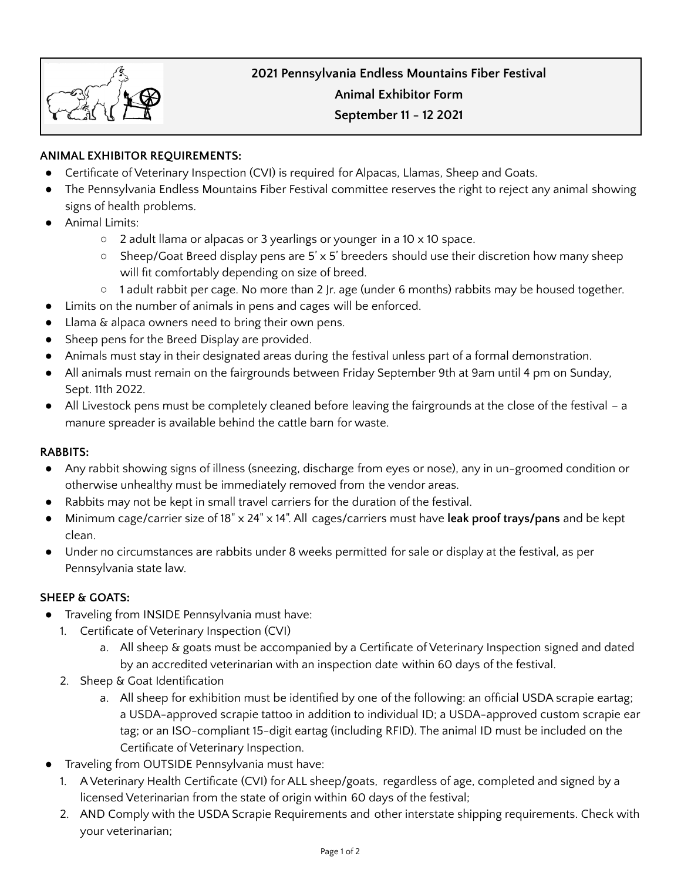# **ANIMAL EXHIBITOR REQUIREMENTS:**

- Certificate of Veterinary Inspection (CVI) is required for Alpacas, Llamas, Sheep and Goats.
- The Pennsylvania Endless Mountains Fiber Festival committee reserves the right to reject any animal showing signs of health problems.
- **Animal Limits:** 
	- 2 adult llama or alpacas or 3 yearlings or younger in a 10 x 10 space.
	- Sheep/Goat Breed display pens are 5'  $\times$  5' breeders should use their discretion how many sheep will fit comfortably depending on size of breed.
	- 1 adult rabbit per cage. No more than 2 Jr. age (under 6 months) rabbits may be housed together.
- Limits on the number of animals in pens and cages will be enforced.
- Llama & alpaca owners need to bring their own pens.
- Sheep pens for the Breed Display are provided.
- Animals must stay in their designated areas during the festival unless part of a formal demonstration.
- All animals must remain on the fairgrounds between Friday September 9th at 9am until 4 pm on Sunday, Sept. 11th 2022.
- All Livestock pens must be completely cleaned before leaving the fairgrounds at the close of the festival a manure spreader is available behind the cattle barn for waste.

# **RABBITS:**

- Any rabbit showing signs of illness (sneezing, discharge from eyes or nose), any in un-groomed condition or otherwise unhealthy must be immediately removed from the vendor areas.
- Rabbits may not be kept in small travel carriers for the duration of the festival.
- Minimum cage/carrier size of 18" x 24" x 14". All cages/carriers must have **leak proof trays/pans** and be kept clean.
- Under no circumstances are rabbits under 8 weeks permitted for sale or display at the festival, as per Pennsylvania state law.

# **SHEEP & GOATS:**

- Traveling from INSIDE Pennsylvania must have:
	- 1. Certificate of Veterinary Inspection (CVI)
		- a. All sheep & goats must be accompanied by a Certificate of Veterinary Inspection signed and dated by an accredited veterinarian with an inspection date within 60 days of the festival.
	- 2. Sheep & Goat Identification
		- a. All sheep for exhibition must be identified by one of the following: an official USDA scrapie eartag; a USDA-approved scrapie tattoo in addition to individual ID; a USDA-approved custom scrapie ear tag; or an ISO-compliant 15-digit eartag (including RFID). The animal ID must be included on the Certificate of Veterinary Inspection.
- Traveling from OUTSIDE Pennsylvania must have:
	- 1. A Veterinary Health Certificate (CVI) for ALL sheep/goats, regardless of age, completed and signed by a licensed Veterinarian from the state of origin within 60 days of the festival;
	- 2. AND Comply with the USDA Scrapie Requirements and other interstate shipping requirements. Check with your veterinarian;